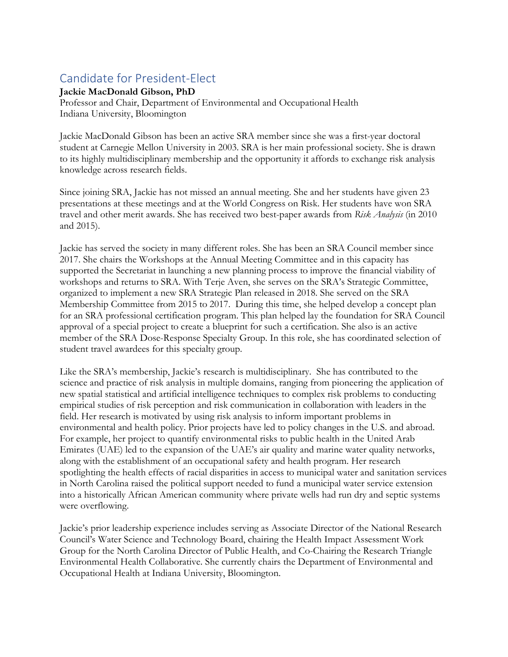## Candidate for President-Elect

## **Jackie MacDonald Gibson, PhD**

Professor and Chair, Department of Environmental and Occupational Health Indiana University, Bloomington

Jackie MacDonald Gibson has been an active SRA member since she was a first-year doctoral student at Carnegie Mellon University in 2003. SRA is her main professional society. She is drawn to its highly multidisciplinary membership and the opportunity it affords to exchange risk analysis knowledge across research fields.

Since joining SRA, Jackie has not missed an annual meeting. She and her students have given 23 presentations at these meetings and at the World Congress on Risk. Her students have won SRA travel and other merit awards. She has received two best-paper awards from *Risk Analysis* (in 2010 and 2015).

Jackie has served the society in many different roles. She has been an SRA Council member since 2017. She chairs the Workshops at the Annual Meeting Committee and in this capacity has supported the Secretariat in launching a new planning process to improve the financial viability of workshops and returns to SRA. With Terje Aven, she serves on the SRA's Strategic Committee, organized to implement a new SRA Strategic Plan released in 2018. She served on the SRA Membership Committee from 2015 to 2017. During this time, she helped develop a concept plan for an SRA professional certification program. This plan helped lay the foundation for SRA Council approval of a special project to create a blueprint for such a certification. She also is an active member of the SRA Dose-Response Specialty Group. In this role, she has coordinated selection of student travel awardees for this specialty group.

Like the SRA's membership, Jackie's research is multidisciplinary. She has contributed to the science and practice of risk analysis in multiple domains, ranging from pioneering the application of new spatial statistical and artificial intelligence techniques to complex risk problems to conducting empirical studies of risk perception and risk communication in collaboration with leaders in the field. Her research is motivated by using risk analysis to inform important problems in environmental and health policy. Prior projects have led to policy changes in the U.S. and abroad. For example, her project to quantify environmental risks to public health in the United Arab Emirates (UAE) led to the expansion of the UAE's air quality and marine water quality networks, along with the establishment of an occupational safety and health program. Her research spotlighting the health effects of racial disparities in access to municipal water and sanitation services in North Carolina raised the political support needed to fund a municipal water service extension into a historically African American community where private wells had run dry and septic systems were overflowing.

Jackie's prior leadership experience includes serving as Associate Director of the National Research Council's Water Science and Technology Board, chairing the Health Impact Assessment Work Group for the North Carolina Director of Public Health, and Co-Chairing the Research Triangle Environmental Health Collaborative. She currently chairs the Department of Environmental and Occupational Health at Indiana University, Bloomington.